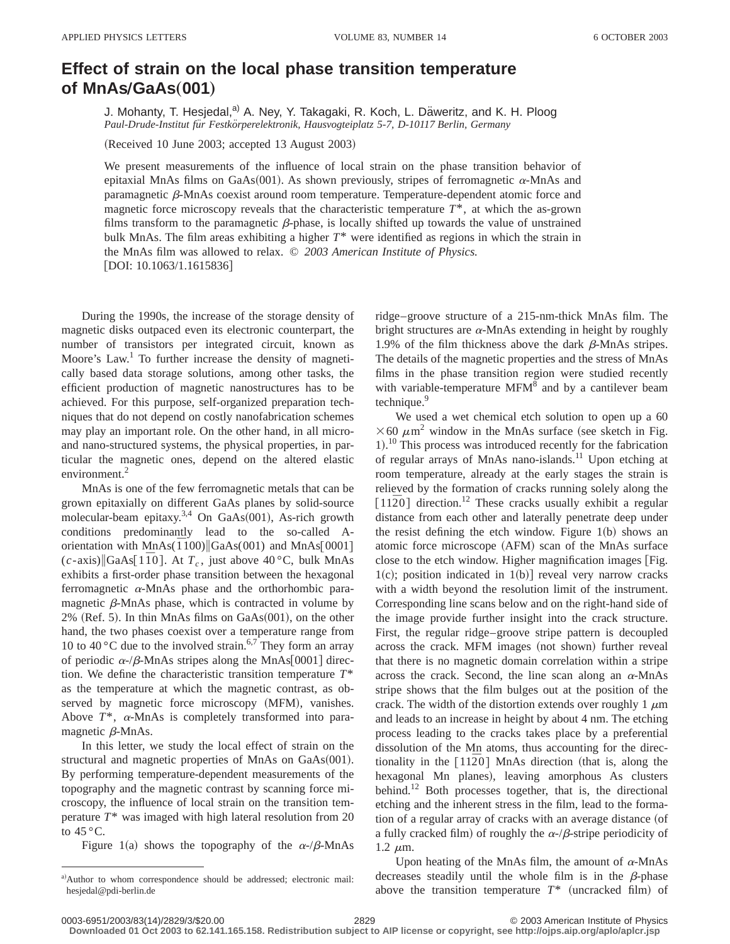## **Effect of strain on the local phase transition temperature of MnAsÕGaAs**"**001**…

J. Mohanty, T. Hesjedal,<sup>a)</sup> A. Ney, Y. Takagaki, R. Koch, L. Däweritz, and K. H. Ploog *Paul-Drude-Institut fu¨r Festko¨rperelektronik, Hausvogteiplatz 5-7, D-10117 Berlin, Germany*

(Received 10 June 2003; accepted 13 August 2003)

We present measurements of the influence of local strain on the phase transition behavior of epitaxial MnAs films on GaAs $(001)$ . As shown previously, stripes of ferromagnetic  $\alpha$ -MnAs and paramagnetic  $\beta$ -MnAs coexist around room temperature. Temperature-dependent atomic force and magnetic force microscopy reveals that the characteristic temperature  $T^*$ , at which the as-grown films transform to the paramagnetic  $\beta$ -phase, is locally shifted up towards the value of unstrained bulk MnAs. The film areas exhibiting a higher *T*\* were identified as regions in which the strain in the MnAs film was allowed to relax. © *2003 American Institute of Physics.* [DOI: 10.1063/1.1615836]

During the 1990s, the increase of the storage density of magnetic disks outpaced even its electronic counterpart, the number of transistors per integrated circuit, known as Moore's Law.<sup>1</sup> To further increase the density of magnetically based data storage solutions, among other tasks, the efficient production of magnetic nanostructures has to be achieved. For this purpose, self-organized preparation techniques that do not depend on costly nanofabrication schemes may play an important role. On the other hand, in all microand nano-structured systems, the physical properties, in particular the magnetic ones, depend on the altered elastic environment.<sup>2</sup>

MnAs is one of the few ferromagnetic metals that can be grown epitaxially on different GaAs planes by solid-source molecular-beam epitaxy.<sup>3,4</sup> On GaAs(001), As-rich growth conditions predominantly lead to the so-called Aorientation with  $MnAs(\overline{1}100)$  GaAs(001) and MnAs $[0001]$  $(c$ -axis)||GaAs[1<sup>*T*0</sup>]. At  $T_c$ , just above 40 °C, bulk MnAs exhibits a first-order phase transition between the hexagonal ferromagnetic <sup>a</sup>-MnAs phase and the orthorhombic paramagnetic  $\beta$ -MnAs phase, which is contracted in volume by  $2\%$  (Ref. 5). In thin MnAs films on GaAs $(001)$ , on the other hand, the two phases coexist over a temperature range from 10 to 40  $\degree$ C due to the involved strain.<sup>6,7</sup> They form an array of periodic  $\alpha$ -/ $\beta$ -MnAs stripes along the MnAs[0001] direction. We define the characteristic transition temperature *T*\* as the temperature at which the magnetic contrast, as observed by magnetic force microscopy (MFM), vanishes. Above *T*\*, <sup>a</sup>-MnAs is completely transformed into paramagnetic  $\beta$ -MnAs.

In this letter, we study the local effect of strain on the structural and magnetic properties of MnAs on  $GaAs(001)$ . By performing temperature-dependent measurements of the topography and the magnetic contrast by scanning force microscopy, the influence of local strain on the transition temperature *T*\* was imaged with high lateral resolution from 20 to  $45^{\circ}$ C.

Figure 1(a) shows the topography of the  $\alpha$ -/ $\beta$ -MnAs

ridge–groove structure of a 215-nm-thick MnAs film. The bright structures are  $\alpha$ -MnAs extending in height by roughly 1.9% of the film thickness above the dark  $\beta$ -MnAs stripes. The details of the magnetic properties and the stress of MnAs films in the phase transition region were studied recently with variable-temperature  $MFM<sup>8</sup>$  and by a cantilever beam technique.<sup>9</sup>

We used a wet chemical etch solution to open up a 60  $\times$  60  $\mu$ m<sup>2</sup> window in the MnAs surface (see sketch in Fig. 1).<sup>10</sup> This process was introduced recently for the fabrication of regular arrays of MnAs nano-islands.11 Upon etching at room temperature, already at the early stages the strain is relieved by the formation of cracks running solely along the  $[11\overline{2}0]$  direction.<sup>12</sup> These cracks usually exhibit a regular distance from each other and laterally penetrate deep under the resist defining the etch window. Figure  $1(b)$  shows an atomic force microscope (AFM) scan of the MnAs surface close to the etch window. Higher magnification images  $[Fig.$  $1(c)$ ; position indicated in  $1(b)$  reveal very narrow cracks with a width beyond the resolution limit of the instrument. Corresponding line scans below and on the right-hand side of the image provide further insight into the crack structure. First, the regular ridge–groove stripe pattern is decoupled across the crack. MFM images (not shown) further reveal that there is no magnetic domain correlation within a stripe across the crack. Second, the line scan along an  $\alpha$ -MnAs stripe shows that the film bulges out at the position of the crack. The width of the distortion extends over roughly 1  $\mu$ m and leads to an increase in height by about 4 nm. The etching process leading to the cracks takes place by a preferential dissolution of the Mn atoms, thus accounting for the directionality in the  $[11\overline{2}0]$  MnAs direction (that is, along the hexagonal Mn planes), leaving amorphous As clusters behind.<sup>12</sup> Both processes together, that is, the directional etching and the inherent stress in the film, lead to the formation of a regular array of cracks with an average distance (of a fully cracked film) of roughly the  $\alpha$ -/ $\beta$ -stripe periodicity of  $1.2 \mu m$ .

Upon heating of the MnAs film, the amount of  $\alpha$ -MnAs decreases steadily until the whole film is in the  $\beta$ -phase above the transition temperature  $T^*$  (uncracked film) of

**Downloaded 01 Oct 2003 to 62.141.165.158. Redistribution subject to AIP license or copyright, see http://ojps.aip.org/aplo/aplcr.jsp**

a)Author to whom correspondence should be addressed; electronic mail: hesjedal@pdi-berlin.de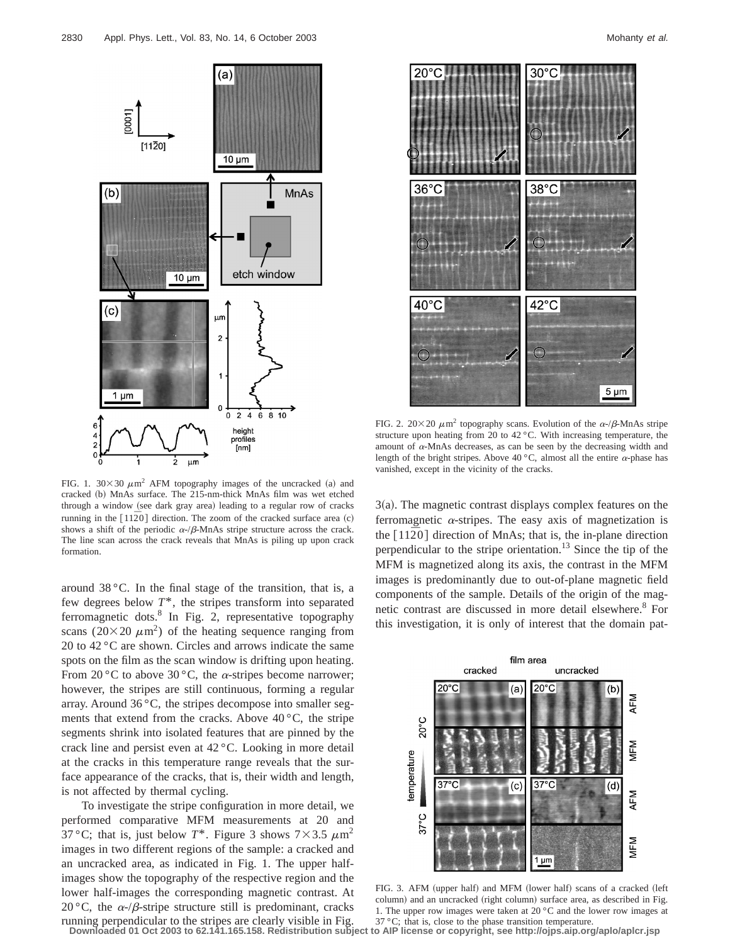

FIG. 1.  $30\times30 \ \mu \text{m}^2$  AFM topography images of the uncracked (a) and cracked (b) MnAs surface. The 215-nm-thick MnAs film was wet etched through a window (see dark gray area) leading to a regular row of cracks running in the  $[11\overline{2}0]$  direction. The zoom of the cracked surface area (c) shows a shift of the periodic  $\alpha$ -/ $\beta$ -MnAs stripe structure across the crack. The line scan across the crack reveals that MnAs is piling up upon crack formation.

around 38 °C. In the final stage of the transition, that is, a few degrees below *T*\*, the stripes transform into separated ferromagnetic dots.8 In Fig. 2, representative topography scans ( $20\times20 \ \mu \text{m}^2$ ) of the heating sequence ranging from 20 to 42 °C are shown. Circles and arrows indicate the same spots on the film as the scan window is drifting upon heating. From 20 °C to above 30 °C, the  $\alpha$ -stripes become narrower; however, the stripes are still continuous, forming a regular array. Around 36 °C, the stripes decompose into smaller segments that extend from the cracks. Above  $40^{\circ}$ C, the stripe segments shrink into isolated features that are pinned by the crack line and persist even at 42 °C. Looking in more detail at the cracks in this temperature range reveals that the surface appearance of the cracks, that is, their width and length, is not affected by thermal cycling.

To investigate the stripe configuration in more detail, we performed comparative MFM measurements at 20 and 37 °C; that is, just below  $T^*$ . Figure 3 shows  $7 \times 3.5 \ \mu m^2$ images in two different regions of the sample: a cracked and an uncracked area, as indicated in Fig. 1. The upper halfimages show the topography of the respective region and the lower half-images the corresponding magnetic contrast. At 20 °C, the  $\alpha$ -/ $\beta$ -stripe structure still is predominant, cracks running perpendicular to the stripes are clearly visible in Fig.



FIG. 2.  $20 \times 20 \mu m^2$  topography scans. Evolution of the  $\alpha$ -/ $\beta$ -MnAs stripe structure upon heating from 20 to 42 °C. With increasing temperature, the amount of  $\alpha$ -MnAs decreases, as can be seen by the decreasing width and length of the bright stripes. Above 40 °C, almost all the entire  $\alpha$ -phase has vanished, except in the vicinity of the cracks.

 $3(a)$ . The magnetic contrast displays complex features on the ferromagnetic  $\alpha$ -stripes. The easy axis of magnetization is the  $\lceil 11\bar{2}0 \rceil$  direction of MnAs; that is, the in-plane direction perpendicular to the stripe orientation.<sup>13</sup> Since the tip of the MFM is magnetized along its axis, the contrast in the MFM images is predominantly due to out-of-plane magnetic field components of the sample. Details of the origin of the magnetic contrast are discussed in more detail elsewhere.<sup>8</sup> For this investigation, it is only of interest that the domain pat-



FIG. 3. AFM (upper half) and MFM (lower half) scans of a cracked (left column) and an uncracked (right column) surface area, as described in Fig. 1. The upper row images were taken at 20 °C and the lower row images at 37 °C; that is, close to the phase transition temperature.

**Downloaded 01 Oct 2003 to 62.141.165.158. Redistribution subject to AIP license or copyright, see http://ojps.aip.org/aplo/aplcr.jsp**